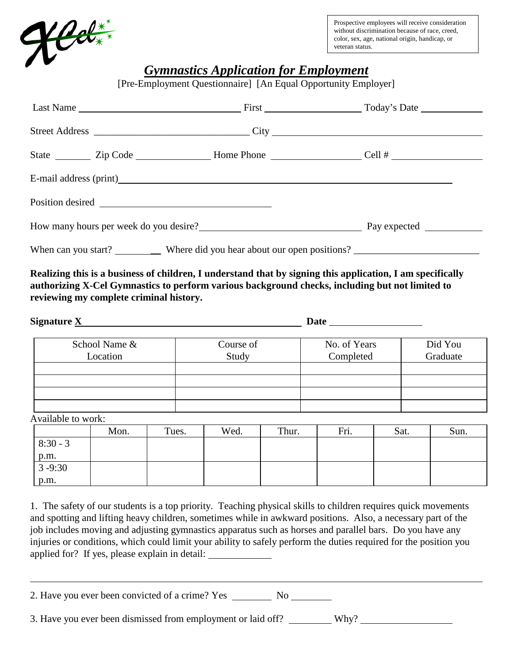

Prospective employees will receive consideration without discrimination because of race, creed, color, sex, age, national origin, handicap, or veteran status.

## *Gymnastics Application for Employment*

[Pre-Employment Questionnaire] [An Equal Opportunity Employer]

|  |  | E-mail address (print) example and the set of the set of the set of the set of the set of the set of the set of the set of the set of the set of the set of the set of the set of the set of the set of the set of the set of |  |  |
|--|--|-------------------------------------------------------------------------------------------------------------------------------------------------------------------------------------------------------------------------------|--|--|
|  |  |                                                                                                                                                                                                                               |  |  |
|  |  | How many hours per week do you desire?                                                                                                                                                                                        |  |  |
|  |  |                                                                                                                                                                                                                               |  |  |

**Realizing this is a business of children, I understand that by signing this application, I am specifically authorizing X-Cel Gymnastics to perform various background checks, including but not limited to reviewing my complete criminal history.** 

| Signature X   |           | <b>Date</b>  |          |
|---------------|-----------|--------------|----------|
| School Name & | Course of | No. of Years | Did You  |
| Location      | Study     | Completed    | Graduate |
|               |           |              |          |
|               |           |              |          |
|               |           |              |          |
|               |           |              |          |

Available to work:

|            | Mon. | Tues. | Wed. | Thur. | Fri. | Sat. | Sun. |
|------------|------|-------|------|-------|------|------|------|
| $8:30 - 3$ |      |       |      |       |      |      |      |
| p.m.       |      |       |      |       |      |      |      |
| $3 - 9:30$ |      |       |      |       |      |      |      |
| p.m.       |      |       |      |       |      |      |      |

1. The safety of our students is a top priority. Teaching physical skills to children requires quick movements and spotting and lifting heavy children, sometimes while in awkward positions. Also, a necessary part of the job includes moving and adjusting gymnastics apparatus such as horses and parallel bars. Do you have any injuries or conditions, which could limit your ability to safely perform the duties required for the position you applied for? If yes, please explain in detail:

2. Have you ever been convicted of a crime? Yes \_\_\_\_\_\_\_\_\_\_\_\_\_\_\_\_\_\_\_\_\_\_\_\_\_\_\_\_\_\_\_\_\_

3. Have you ever been dismissed from employment or laid off? \_\_\_\_\_\_\_\_\_ Why?